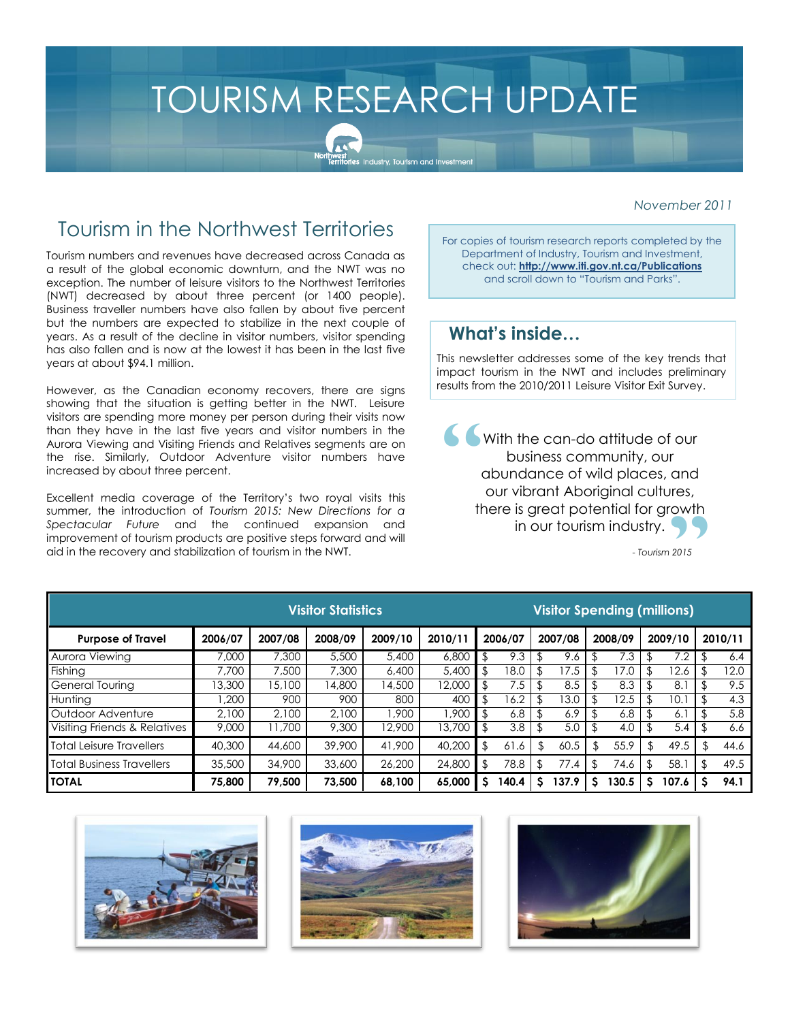# TOURISM RESEARCH UPDATE

pr**rnwest**<br>T<mark>erritories</mark> Industry, Tourism and Investmen

#### *November 2011*

# Tourism in the Northwest Territories

Tourism numbers and revenues have decreased across Canada as a result of the global economic downturn, and the NWT was no exception. The number of leisure visitors to the Northwest Territories (NWT) decreased by about three percent (or 1400 people). Business traveller numbers have also fallen by about five percent but the numbers are expected to stabilize in the next couple of years. As a result of the decline in visitor numbers, visitor spending has also fallen and is now at the lowest it has been in the last five years at about \$94.1 million.

However, as the Canadian economy recovers, there are signs showing that the situation is getting better in the NWT. Leisure visitors are spending more money per person during their visits now than they have in the last five years and visitor numbers in the Aurora Viewing and Visiting Friends and Relatives segments are on the rise. Similarly, Outdoor Adventure visitor numbers have increased by about three percent.

Excellent media coverage of the Territory's two royal visits this summer, the introduction of *Tourism 2015: New Directions for a Spectacular Future* and the continued expansion and improvement of tourism products are positive steps forward and will aid in the recovery and stabilization of tourism in the NWT.

For copies of tourism research reports completed by the Department of Industry, Tourism and Investment, check out: **http://www.iti.gov.nt.ca/Publications**  and scroll down to "Tourism and Parks".

### **What's inside…**

This newsletter addresses some of the key trends that impact tourism in the NWT and includes preliminary results from the 2010/2011 Leisure Visitor Exit Survey.

With the can-do attitude of our business community, our abundance of wild places, and our vibrant Aboriginal cultures, there is great potential for growth in our tourism industry.  $\frac{1}{2}$  $\sum_{2015}$ 

*- Tourism 2015*

| <b>Visitor Statistics</b>    |         |         |         |         |         | <b>Visitor Spending (millions)</b> |          |     |         |     |         |  |         |  |         |
|------------------------------|---------|---------|---------|---------|---------|------------------------------------|----------|-----|---------|-----|---------|--|---------|--|---------|
| <b>Purpose of Travel</b>     | 2006/07 | 2007/08 | 2008/09 | 2009/10 | 2010/11 |                                    | 2006/07  |     | 2007/08 |     | 2008/09 |  | 2009/10 |  | 2010/11 |
| Aurora Viewina               | 7,000   | 7,300   | 5,500   | 5,400   | 6,800   | \$                                 | 9.3      |     | 9.6     |     | 7.3     |  | 7.2     |  | 6.4     |
| Fishina                      | 7.700   | 7,500   | 7.300   | 6,400   | 5,400   | \$                                 | 18.0     | \$. | 7.5     | \$  | 7.0     |  | 12.6    |  | 12.0    |
| General Tourina              | 13,300  | 15,100  | 14,800  | 14,500  | 2.000   | $\mathfrak{F}$                     | 7.5      |     | 8.5     |     | 8.3     |  | 8.1     |  | 9.5     |
| Huntina                      | .200    | 900     | 900     | 800     | 400     | \$                                 | 16.2     |     | 13.0    | \$  | 2.5     |  | 10.1    |  | 4.3     |
| Outdoor Adventure            | 2.100   | 2.100   | 2.100   | 1.900   | 1.900   | \$                                 | 6.8      |     | 6.9     | \$. | 6.8     |  | 6. l    |  | 5.8     |
| Visiting Friends & Relatives | 9,000   | 1,700   | 9,300   | 12,900  | 13,700  | \$                                 | 3.8      |     | 5.0     | \$. | 4.0     |  | 5.4     |  | 6.6     |
| Total Leisure Travellers     | 40,300  | 44,600  | 39,900  | 41,900  | 40,200  | \$                                 | 61<br>.6 | \$  | 60.5    | S.  | 55.9    |  | 49.5    |  | 44.6    |
| Total Business Travellers    | 35,500  | 34,900  | 33,600  | 26,200  | 24,800  | \$                                 | 78.8     |     | 77.4    |     | 74.6    |  | 58.1    |  | 49.5    |
| <b>TOTAL</b>                 | 75,800  | 79,500  | 73.500  | 68,100  | 65.000  | s                                  | 140.4    | s   | 137.9   | s   | 130.5   |  | 107.6   |  | 94.1    |





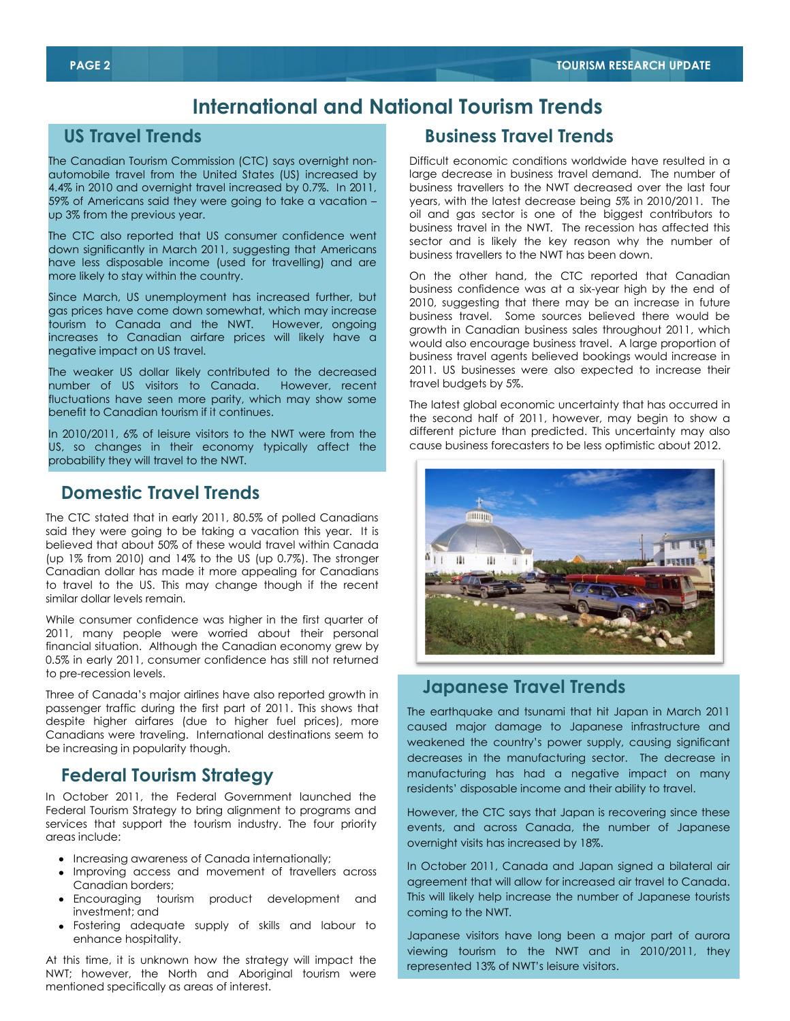# **International and National Tourism Trends**

#### **US Travel Trends**

The Canadian Tourism Commission (CTC) says overnight nonautomobile travel from the United States (US) increased by 4.4% in 2010 and overnight travel increased by 0.7%. In 2011, 59% of Americans said they were going to take a vacation – up 3% from the previous year.

The CTC also reported that US consumer confidence went down significantly in March 2011, suggesting that Americans have less disposable income (used for travelling) and are more likely to stay within the country.

Since March, US unemployment has increased further, but gas prices have come down somewhat, which may increase tourism to Canada and the NWT. However, ongoing increases to Canadian airfare prices will likely have a negative impact on US travel.

The weaker US dollar likely contributed to the decreased number of US visitors to Canada. However, recent fluctuations have seen more parity, which may show some benefit to Canadian tourism if it continues.

In 2010/2011, 6% of leisure visitors to the NWT were from the US, so changes in their economy typically affect the probability they will travel to the NWT.

## **Domestic Travel Trends**

The CTC stated that in early 2011, 80.5% of polled Canadians said they were going to be taking a vacation this year. It is believed that about 50% of these would travel within Canada (up 1% from 2010) and 14% to the US (up 0.7%). The stronger Canadian dollar has made it more appealing for Canadians to travel to the US. This may change though if the recent similar dollar levels remain.

While consumer confidence was higher in the first quarter of 2011, many people were worried about their personal financial situation. Although the Canadian economy grew by 0.5% in early 2011, consumer confidence has still not returned to pre-recession levels.

Three of Canada's major airlines have also reported growth in passenger traffic during the first part of 2011. This shows that despite higher airfares (due to higher fuel prices), more Canadians were traveling. International destinations seem to be increasing in popularity though.

## **Federal Tourism Strategy**

In October 2011, the Federal Government launched the Federal Tourism Strategy to bring alignment to programs and services that support the tourism industry. The four priority areas include:

- Increasing awareness of Canada internationally;
- Improving access and movement of travellers across Canadian borders;
- Encouraging tourism product development and investment; and
- Fostering adequate supply of skills and labour to enhance hospitality.

At this time, it is unknown how the strategy will impact the NWT; however, the North and Aboriginal tourism were mentioned specifically as areas of interest.

## **Business Travel Trends**

Difficult economic conditions worldwide have resulted in a large decrease in business travel demand. The number of business travellers to the NWT decreased over the last four years, with the latest decrease being 5% in 2010/2011. The oil and gas sector is one of the biggest contributors to business travel in the NWT. The recession has affected this sector and is likely the key reason why the number of business travellers to the NWT has been down.

On the other hand, the CTC reported that Canadian business confidence was at a six-year high by the end of 2010, suggesting that there may be an increase in future business travel. Some sources believed there would be growth in Canadian business sales throughout 2011, which would also encourage business travel. A large proportion of business travel agents believed bookings would increase in 2011. US businesses were also expected to increase their travel budgets by 5%.

The latest global economic uncertainty that has occurred in the second half of 2011, however, may begin to show a different picture than predicted. This uncertainty may also cause business forecasters to be less optimistic about 2012.



## **Japanese Travel Trends**

The earthquake and tsunami that hit Japan in March 2011 caused major damage to Japanese infrastructure and weakened the country's power supply, causing significant decreases in the manufacturing sector. The decrease in manufacturing has had a negative impact on many residents' disposable income and their ability to travel.

However, the CTC says that Japan is recovering since these events, and across Canada, the number of Japanese overnight visits has increased by 18%.

In October 2011, Canada and Japan signed a bilateral air agreement that will allow for increased air travel to Canada. This will likely help increase the number of Japanese tourists coming to the NWT.

Leslie Leong / GNWT viewing tourism to the NWT and in 2010/2011, they Japanese visitors have long been a major part of aurora represented 13% of NWT's leisure visitors.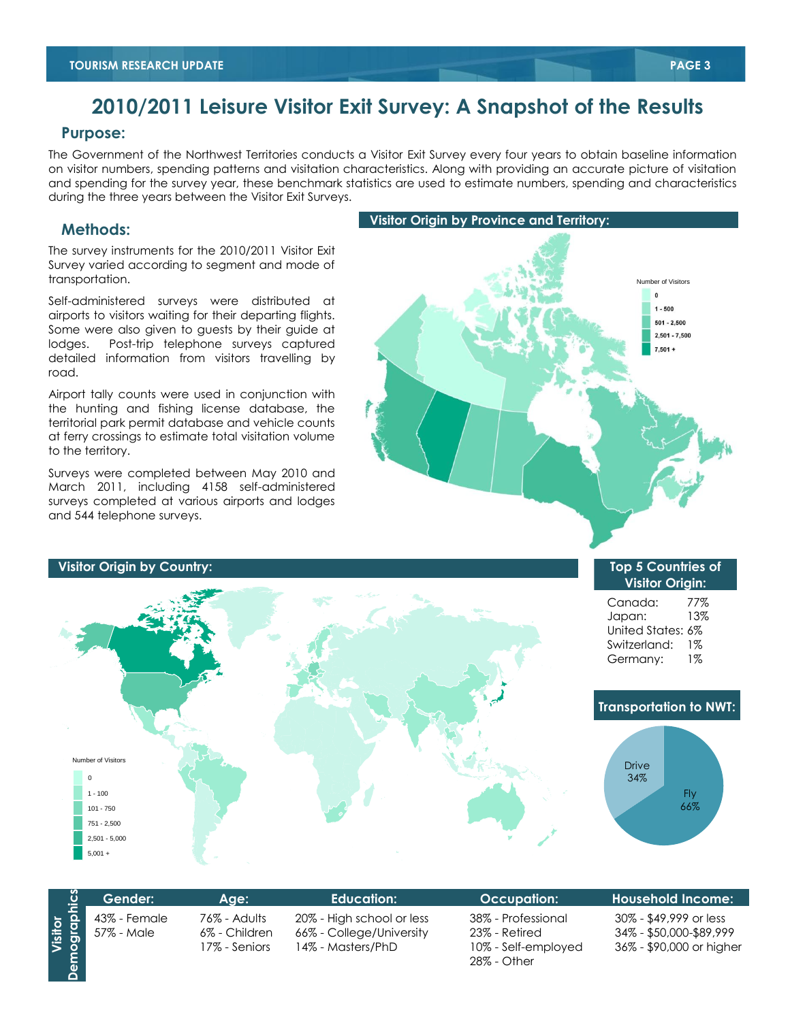# **2010/2011 Leisure Visitor Exit Survey: A Snapshot of the Results**

#### **Purpose:**

The Government of the Northwest Territories conducts a Visitor Exit Survey every four years to obtain baseline information on visitor numbers, spending patterns and visitation characteristics. Along with providing an accurate picture of visitation and spending for the survey year, these benchmark statistics are used to estimate numbers, spending and characteristics during the three years between the Visitor Exit Surveys.

#### **Methods:**

The survey instruments for the 2010/2011 Visitor Exit Survey varied according to segment and mode of transportation.

Self-administered surveys were distributed at airports to visitors waiting for their departing flights. Some were also given to guests by their guide at lodges. Post-trip telephone surveys captured detailed information from visitors travelling by road.

Airport tally counts were used in conjunction with the hunting and fishing license database, the territorial park permit database and vehicle counts at ferry crossings to estimate total visitation volume to the territory.

Surveys were completed between May 2010 and March 2011, including 4158 self-administered surveys completed at various airports and lodges and 544 telephone surveys.



#### **Number of Visitors**  $\Omega$  $1 - 100$ 101 - 750 751 - 2,500 2,501 - 5,000  $5,001 +$ Fly 66% Drive 34% **Top 5 Countries of Visitor Origin:** Canada: 77% Japan: 13% United States: 6% Switzerland: 1% Germany: 1%  **Visitor Origin by Country: Transportation to NWT:**

|                         | Gender:                      | Age:                                           | Education:                                                                 | <b>Occupation:</b>                                                        | <b>Household Income:</b>                                                      |
|-------------------------|------------------------------|------------------------------------------------|----------------------------------------------------------------------------|---------------------------------------------------------------------------|-------------------------------------------------------------------------------|
| Visitor<br>Demographics | 43% - Female<br>  57% - Male | 76% - Adults<br>6% - Children<br>17% - Seniors | 20% - High school or less<br>66% - College/University<br>14% - Masters/PhD | 38% - Professional<br>23% - Retired<br>10% - Self-employed<br>28% - Other | 30% - \$49,999 or less<br>34% - \$50,000-\$89,999<br>36% - \$90,000 or higher |